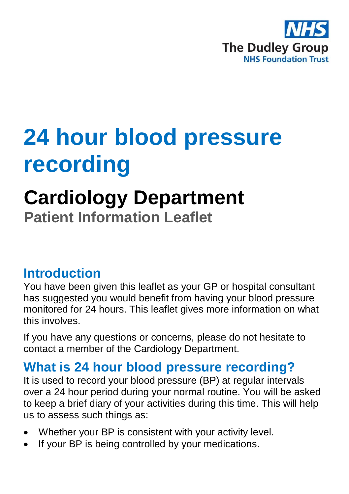

## **24 hour blood pressure recording**

# **Cardiology Department**

**Patient Information Leaflet**

#### **Introduction**

You have been given this leaflet as your GP or hospital consultant has suggested you would benefit from having your blood pressure monitored for 24 hours. This leaflet gives more information on what this involves.

If you have any questions or concerns, please do not hesitate to contact a member of the Cardiology Department.

#### **What is 24 hour blood pressure recording?**

It is used to record your blood pressure (BP) at regular intervals over a 24 hour period during your normal routine. You will be asked to keep a brief diary of your activities during this time. This will help us to assess such things as:

- Whether your BP is consistent with your activity level.
- If your BP is being controlled by your medications.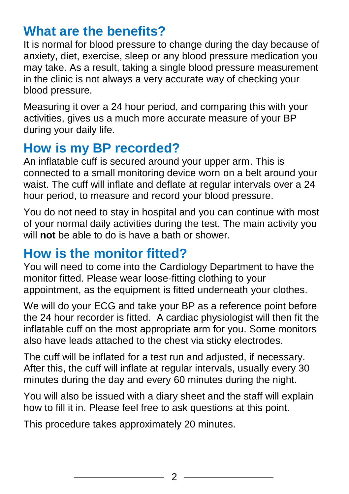## **What are the benefits?**

It is normal for blood pressure to change during the day because of anxiety, diet, exercise, sleep or any blood pressure medication you may take. As a result, taking a single blood pressure measurement in the clinic is not always a very accurate way of checking your blood pressure.

Measuring it over a 24 hour period, and comparing this with your activities, gives us a much more accurate measure of your BP during your daily life.

## **How is my BP recorded?**

An inflatable cuff is secured around your upper arm. This is connected to a small monitoring device worn on a belt around your waist. The cuff will inflate and deflate at regular intervals over a 24 hour period, to measure and record your blood pressure.

You do not need to stay in hospital and you can continue with most of your normal daily activities during the test. The main activity you will **not** be able to do is have a bath or shower.

## **How is the monitor fitted?**

You will need to come into the Cardiology Department to have the monitor fitted. Please wear loose-fitting clothing to your appointment, as the equipment is fitted underneath your clothes.

We will do your ECG and take your BP as a reference point before the 24 hour recorder is fitted. A cardiac physiologist will then fit the inflatable cuff on the most appropriate arm for you. Some monitors also have leads attached to the chest via sticky electrodes.

The cuff will be inflated for a test run and adjusted, if necessary. After this, the cuff will inflate at regular intervals, usually every 30 minutes during the day and every 60 minutes during the night.

You will also be issued with a diary sheet and the staff will explain how to fill it in. Please feel free to ask questions at this point.

This procedure takes approximately 20 minutes.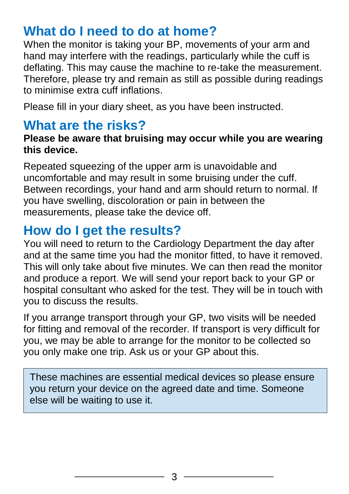## **What do I need to do at home?**

When the monitor is taking your BP, movements of your arm and hand may interfere with the readings, particularly while the cuff is deflating. This may cause the machine to re-take the measurement. Therefore, please try and remain as still as possible during readings to minimise extra cuff inflations.

Please fill in your diary sheet, as you have been instructed.

#### **What are the risks?**

#### **Please be aware that bruising may occur while you are wearing this device.**

Repeated squeezing of the upper arm is unavoidable and uncomfortable and may result in some bruising under the cuff. Between recordings, your hand and arm should return to normal. If you have swelling, discoloration or pain in between the measurements, please take the device off.

## **How do I get the results?**

You will need to return to the Cardiology Department the day after and at the same time you had the monitor fitted, to have it removed. This will only take about five minutes. We can then read the monitor and produce a report. We will send your report back to your GP or hospital consultant who asked for the test. They will be in touch with you to discuss the results.

If you arrange transport through your GP, two visits will be needed for fitting and removal of the recorder. If transport is very difficult for you, we may be able to arrange for the monitor to be collected so you only make one trip. Ask us or your GP about this.

These machines are essential medical devices so please ensure you return your device on the agreed date and time. Someone else will be waiting to use it.